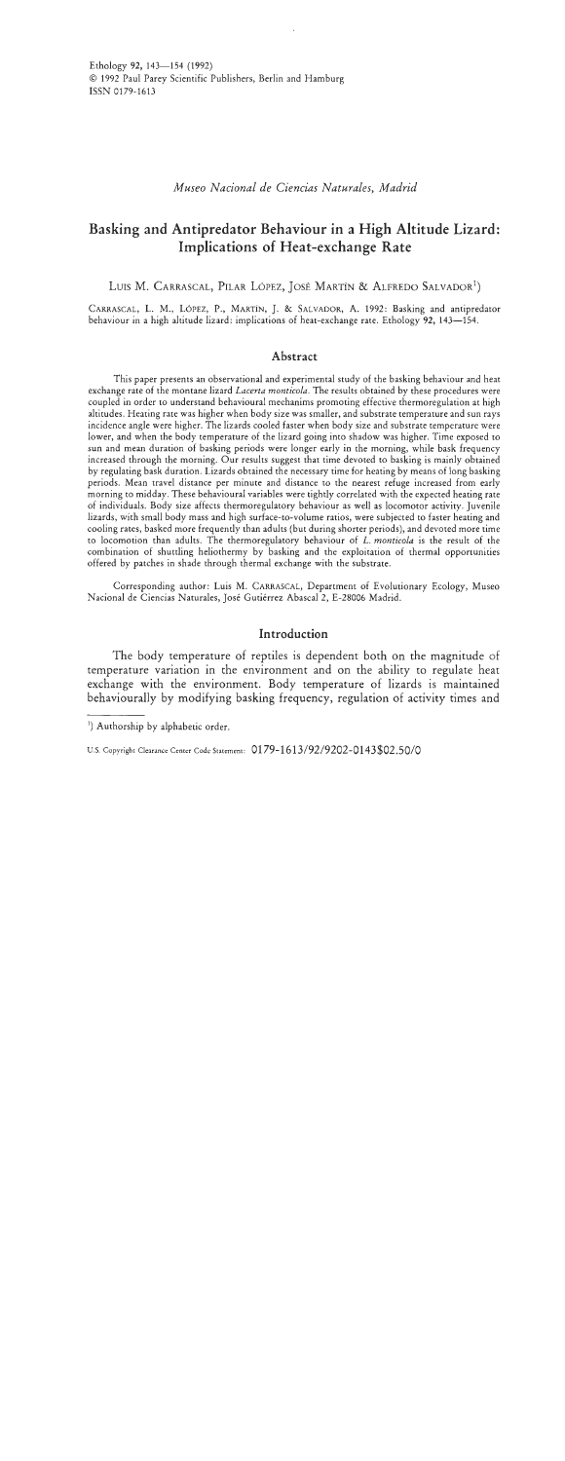*Museo Nacional de Ciencias Naturales, Madrid* 

# **Basking and Antipredator Behaviour in a High Altitude Lizard: Implications of Heat-exchange Rate**

LUIS M. CARRASCAL, PILAR LÓPEZ, JOSÉ MARTÍN & ALFREDO SALVADOR<sup>1</sup>)

CARRASCAL, L. M., LÓPEZ, P., MARTIN, J. & SALVADOR, A. 1992: Basking and antipredator behaviour in a high altitude lizard: implications of heat-exchange rate. Ethology **92, 143-154.** 

# **Abstract**

This paper presents an observational and experimental study of the basking behaviour and heat exchange rate of the montane lizard *Lacerta monticola*. The results obtained by these procedures were coupled in order to understand behavioural mechanims promoting effective thermoregulation at high altitudes. Heating rate was higher when body size was smaller, and substrate temperature and sun rays incidence angle were higher. The lizards cooled faster when body size and substrate temperature were lower, and when the body temperature of the lizard going into shadow was higher. Time exposed to sun and mean duration of basking periods were longer early in the morning, while bask frequency increased through the morning. Our results suggest that time devoted to basking is mainly obtained by regulating bask duration. Lizards obtained the necessary time for heating by means of long basking periods. Mean travel distance per minute and distance to the nearest refuge increased from early morning to midday. These behavioural variables were tightly correlated with the expected heating rate of individuals. Body size affects thermoregulatory behaviour as well as locomotor activity. Juvenile lizards, with small body mass and high surface-to-volume ratios, were subjected to faster heating and cooling rates, basked more frequently than adults (but during shorter periods), and devoted more time to locomotion than adults. The thermoregulatory behaviour of *L. monticola* is the result of the combination of shuttling heliothermy by basking and the exploitation of thermal opportunities offered by patches in shade through thermal exchange with the substrate.

Corresponding author: Luis M. CARRASCAL, Department of Evolutionary Ecology, Museo Nacional de Ciencias Naturales, José Gutiérrez Abascal 2, E-28006 Madrid.

# **Introduction**

The body temperature of reptiles is dependent both on the magnitude of temperature variation in the environment and on the ability to regulate heat exchange with the environment. Body temperature of lizards is maintained behaviourally by modifying basking frequency, regulation of activity times and

<sup>&#</sup>x27;) Authorship by alphabetic order.

U.S. Copyright Clearance Center Code Statement: 0179-1613/92/9202-0143\$02.50/0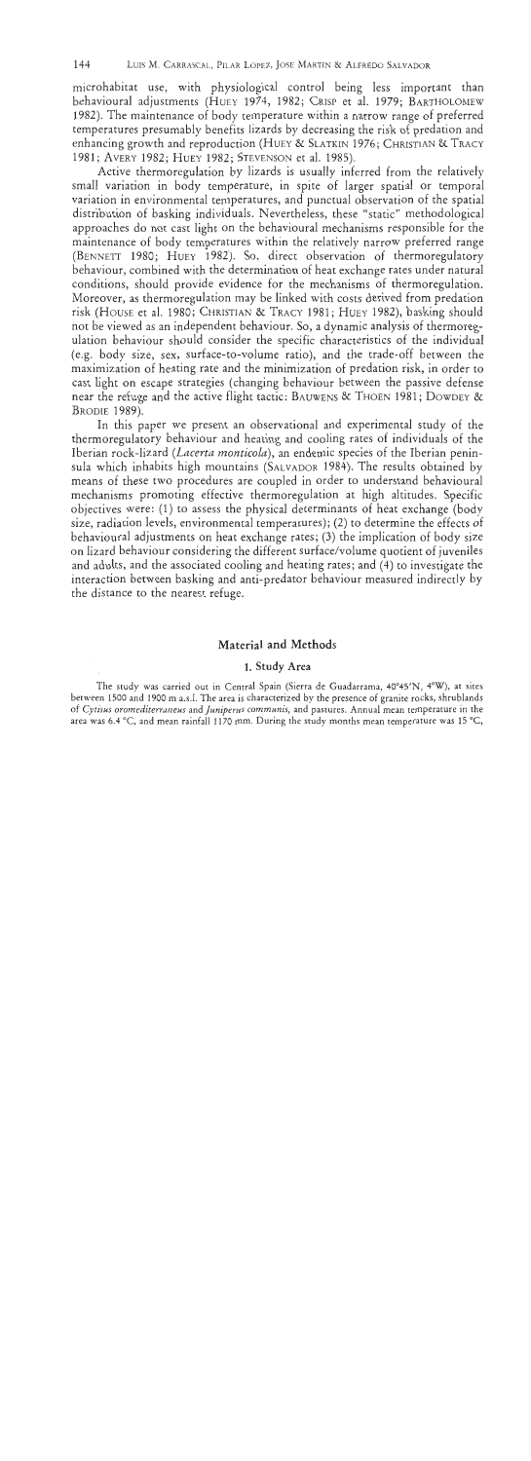microhabitat use, with physiological control being less important than behavioural adjustments (HUEY 1974, 1982; CRISP et al. 1979; BARTHOLOMEW 1982). The maintenance of body temperature within a narrow range of preferred temperatures presumably benefits lizards by decreasing the risk of predation and enhancing growth and reproduction (HUEY & SLATKIN 1976; CHRISTIAN & TRACY <sup>1981</sup>; AVERY 1982; HUEY 1982; STEVENSON et al. 1985).

Active thermoregulation by lizards is usually inferred from the relatively small variation in body temperature, in spite of larger spatial or temporal variation in environmental temperatures, and punctual observation of the spatial distribution of basking individuals. Nevertheless, these "static" methodological approaches do not cast light on the behavioural mechanisms responsible for the maintenance of body temperatures within the relatively narrow preferred range (BENNETT 1980; HUEY 1982). So, direct observation of thermoregulatory behaviour, combined with the determination of heat exchange rates under natural conditions, should provide evidence for the mechanisms of thermoregulation. Moreover, as thermoregulation may be linked with costs derived from predation risk (HOUSE et al. 1980; CHRISTIAN & TRACY 1981; HUEY 1982), basking should not be viewed as an independent behaviour. So, a dynamic analysis of thermoregulation behaviour should consider the specific characteristics of the individual (e.g. body size, sex, surface-to-volume ratio), and the trade-off between the maximization of heating rate and the minimization of predation risk, in order to cast light on escape strategies (changing behaviour between the passive defense near the refuge and the active flight tactic: BAUWENS & THOEN 1981; DOWDEY & BRODIE 1989).

In this paper we present an observational and experimental study of the thermoregulatory behaviour and heating and cooling rates of individuals of the Iberian rock-lizard (Lacerta monticola), an endemic species of the Iberian peninsula which inhabits high mountains (SALVADOR 1984). The results obtained by means of these two procedures are coupled in order to understand behavioural mechanisms promoting effective thermoregulation at high altitudes. Specific objectives were: (I) to assess the physical determinants of heat exchange (body size, radiation levels, environmental temperatures); (2) to determine the effects of behavioural adjustments on heat exchange rates; **(3)** the implication of body size on lizard behaviour considering the different surface/volume quotient of juveniles and adults, and the associated cooling and heating rates; and (4) to investigate the interaction between basking and anti-predator behaviour measured indirectly by the distance to the nearest refuge.

# Material and Methods

## 1. Study **Area**

The study was carried out in Central Spain (Sierra de Guadarrama, 40°45'N, 4°W), at sites **between 1500 and 1900 m a.s.1. The area is characterized by the presence of granite rocks, shrublands**  of *Cytisirs oromediterruneus* **and** *Jrrnipenis commrrnis,* **and pastures. Annual mean temperature in the area was 6.4 "C, and mean rainfall 1170 mm. During the study months mean temperature was 15 "C,**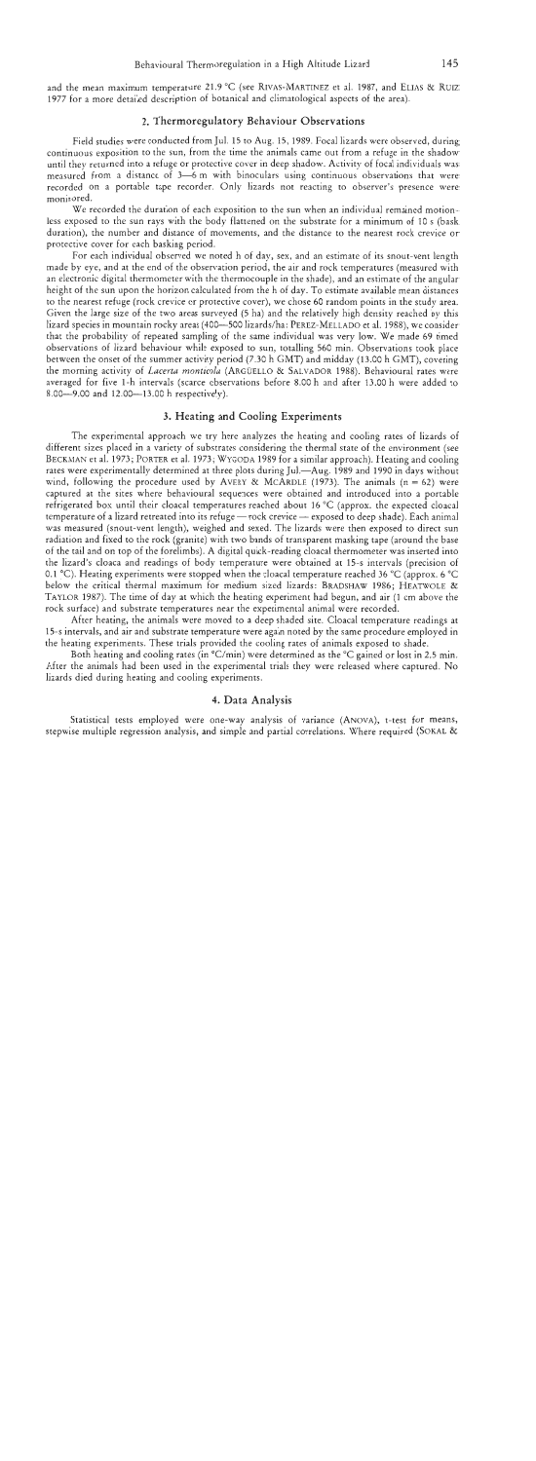and the mean maximum temperature 21.9 "C (see RIVAS-MARTINEZ et al. 1987, and ELIAS & RUIZ 1977 for a more detailed description of botanical and climatological aspects of the area).

#### **2. Thermoregulatory Behaviour Observations**

Field studies were conducted from Jul. 15 to Aug. 15, 1989. Focal lizards were observed, during continuous exposition to the sun, from the time the animals came out from a refuge in the shadow until they returned into a refuge or protective cover in deep shadow. Activity of focal individuals was measured from a distance of  $3-6$  m with binoculars using continuous observations that were recorded on a portable tape recorder. Only lizards not reacting to observer's presence were monitored.

We recorded the duration of each exposition to the sun when an individual remained motionless exposed to the sun rays with the body flattened on the substrate for a minimum of 10 s (bask duration), the number and distance of movements, and the distance to the nearest rock crevice or protective cover for each basking period.

For each individual observed we noted h of day, sex, and an estimate of its snout-vent length made by eye, and at the end of the observation period, the air and rock temperatures (measured with an electronic digital thermometer with the thermocouple in the shade), and an estimate of the angular height of the sun upon the horizon calculated from the h of day. To estimate available mean distances to the nearest refuge (rock crevice or protective cover), we chose 60 random points in the study area. Given the large size of the two areas surveyed (5 ha) and the relatively high density reached by this lizard species in mountain rocky areas (400—500 lizards/ha: PEREZ-MELLADO et al. 1988), we consider that the probability of repeated sampling of the same individual was very low. We made 69 timed observations of lizard behaviour while exposed to sun, totalling 560 min. Observations took place between the onset of the summer activity period (7.30 h GMT) and midday (13.00 h GMT), covering the morning activity of *Lacerta montrcolu* (ARGUELLO & SALVADOR 1988). Behavioural rates were averaged for five l-h intervals (scarce observations before 8.00 h and after 13.00 h were added to 8.00-9.00 and 12.00-13.00 h respectively).

#### **3. Heating and Cooling Experiments**

The experimental approach we try here analyzes the heating and cooling rates of lizards of different sizes placed in a variety of substrates considering the thermal state of the environment (see BECKMAN et al. 1973; PORTER et al. 1973; WYGODA 1989 for a similar approach). Heating and cooling rates were experimentally determined at three plots during Jul.-Aug. 1989 and 1990 in days without wind, following the procedure used by AVERY & MCARDLE (1973). The animals ( $n = 62$ ) were captured at the sites where behavioural sequences were obtained and introduced into a portable refrigerated box until their cloacal temperatures reached about 16 "C (approx. the expected cloacal temperature of a lizard retreated into its refuge - rock crevice - exposed to deep shade). Each animal was measured (snout-vent length), weighed and sexed. The lizards were then exposed to direct sun radiation and fixed to the rock (granite) with two bands of transparent masking tape (around the base of the tail and on top of the forelimbs). A digital quick-reading cloacal thermometer was inserted into the lizard's cloaca and readings of body temperature were obtained at 15-s intervals (precision of 0.1 "C). Heating experiments were stopped when the cloacal temperature reached 36 "C (approx. 6 "C below the critical thermal maximum for medium sized lizards: BRADSHAW 1986; HEATWOLE *8(*  TAYLOR 1987). The time of day at which the heating experiment had begun, and air (1 cm above the rock surface) and substrate temperatures near the experimental animal were recorded.

After heating, the animals were moved to a deep shaded site. Cloacal temperature readings at 15-s intervals, and air and substrate temperature were again noted by the same procedure employed in the heating experiments. These trials provided the cooling rates of animals exposed to shade.

Both heating and cooling rates (in  $°C/min$ ) were determined as the  $°C$  gained or lost in 2.5 min. After the animals had been used in the experimental trials they were released where captured. No lizards died during heating and cooling experiments.

## **4. Data Analysis**

Statistical tests employed were one-way analysis of variance (ANOVA), t-test for means, stepwise multiple regression analysis, and simple and partial correlations. Where required (SOKAL &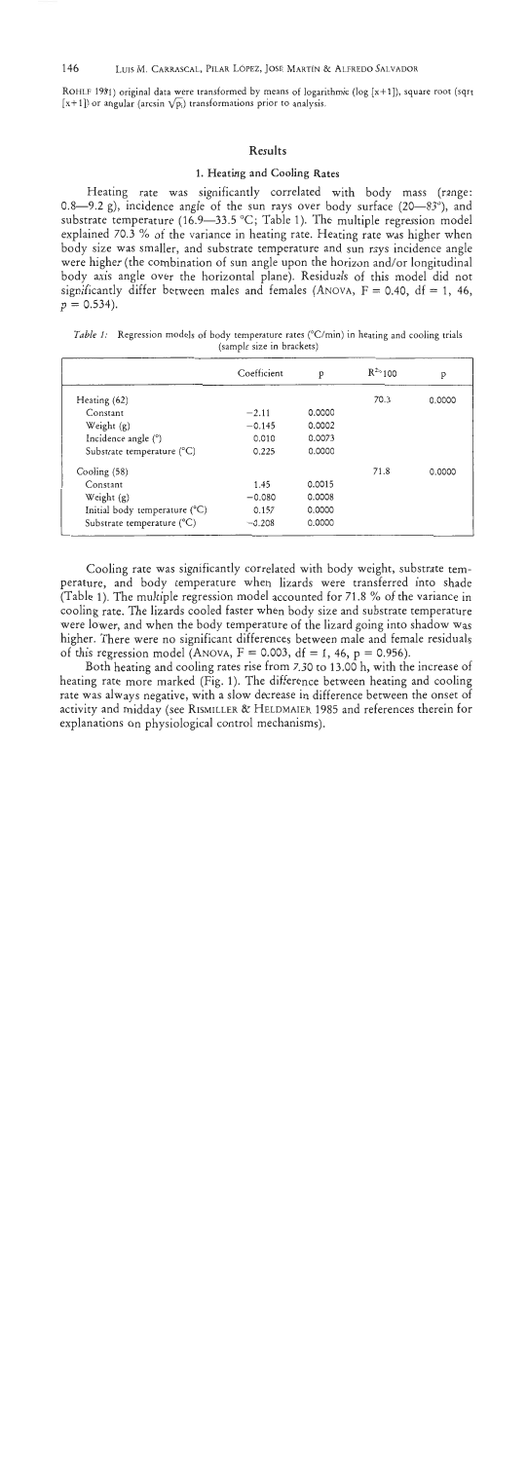ROHLF 1981) original data were transformed by means of logarithmic ( $log [x+1]$ ), square root (sqrt  $[x+1]$ ) or angular (arcsin  $\sqrt{p_i}$ ) transformations prior to analysis.

#### Results

# 1. Heating and Cooling Rates

Heating rate was significantly correlated with body mass (range: 0.8-9.2 g), incidence angle of the sun rays over body surface  $(20-83^{\circ})$ , and substrate temperature (16.9–33.5 °C; Table 1). The multiple regression model explained 70.3 % of the variance in heating rate. Heating rate was higher when body size was smaller, and substrate temperature and sun rays incidence angle were higher (the combination of sun angle upon the horizon and/or longitudinal body axis angle over the horizontal plane). Residuals of this model did not significantly differ between males and females (ANOVA,  $F = 0.40$ , df = 1, 46,  $p = 0.534$ .

|                               | Coefficient | p      | $R^{2}$ 100 | p      |
|-------------------------------|-------------|--------|-------------|--------|
| Heating (62)                  |             |        | 70.3        | 0.0000 |
| Constant                      | $-2.11$     | 0.0000 |             |        |
| Weight $(g)$                  | $-0.145$    | 0.0002 |             |        |
| Incidence angle (°)           | 0.010       | 0.0073 |             |        |
| Substrate temperature (°C)    | 0.225       | 0.0000 |             |        |
| Cooling (58)                  |             |        | 71.8        | 0.0000 |
| Constant                      | 1.45        | 0.0015 |             |        |
| Weight $(g)$                  | $-0.080$    | 0.0008 |             |        |
| Initial body temperature (°C) | 0.157       | 0.0000 |             |        |
| Substrate temperature (°C)    | $-0.208$    | 0.0000 |             |        |

*Table 1:* Regression models of body temperature rates (°C/min) in heating and cooling trials **(sample size in brackets)** 

Cooling rate was significantly correlated with body weight, substrate temperature, and body temperature when lizards were transferred into shade (Table 1). The multiple regression model accounted for 71.8 % of the variance in cooling rate. The lizards cooled faster when body size and substrate temperature were lower, and when the body temperature of the lizard going into shadow was higher. There were no significant differences between male and female residuals of this regression model (ANOVA,  $F = 0.003$ , df = 1, 46, p = 0.956).

Both heating and cooling rates rise from 7.30 to 13.00 h, with the increase of heating rate more marked (Fig. 1). The difference between heating and cooling rate was always negative, with a slow decrease in difference between the onset of activity and midday (see RISMILLER & HELDMAIER 1985 and references therein for explanations on physiological control mechanisms).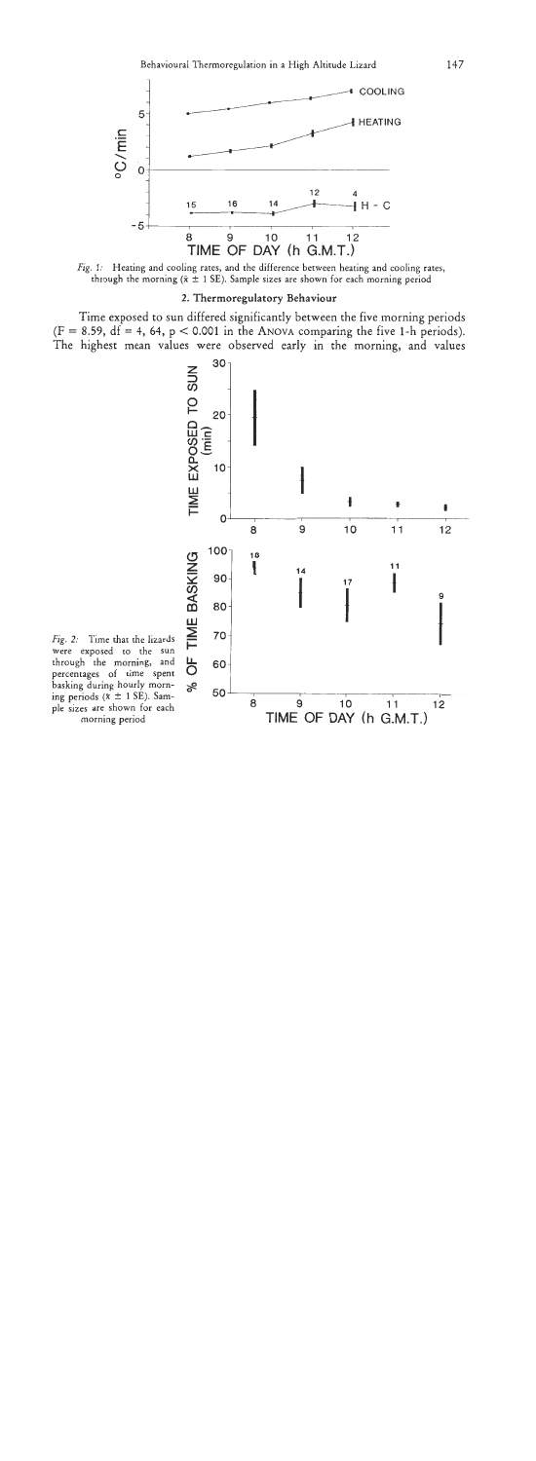

*Fig. I:* Heating and cooling rates, and the difference between heating and cooling rates, through the morning  $(\bar{x} \pm 1 \text{ SE})$ . Sample sizes are shown for each morning period

#### **2. Thermoregulatory Behaviour**

**Time exposed to sun differed significantly between the five morning periods**   $(F = 8.59, df = 4, 64, p < 0.001$  in the ANOVA comparing the five 1-h periods). **The highest mean values were observed early in the morning, and values** 



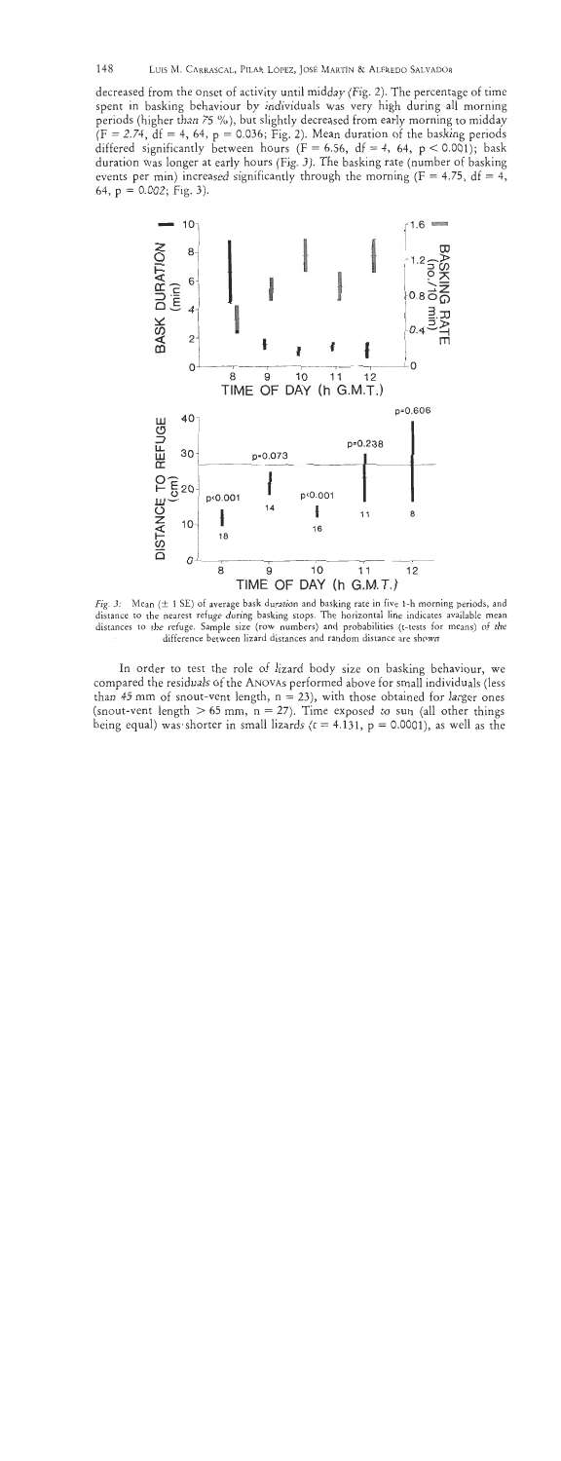decreased from the onset of activity until midday (Fig. 2). The percentage of time spent in basking behaviour by individuals was very high during all morning periods (higher than **75** %), but slightly decreased from early morning to midday  $(F = 2.74, df = 4, 64, p = 0.036; Fig. 2)$ . Mean duration of the basking periods differed significantly between hours ( $F = 6.56$ ,  $df = 4$ , 64,  $p < 0.001$ ); bask duration was longer at early hours (Fig. 3). The basking rate (number of basking events per min) increased significantly through the morning ( $F = 4.75$ ,  $df = 4$ ,



Fig. 3: Mean ( $\pm$  1 SE) of average bask duration and basking rate in five 1-h morning periods, and distance to the nearest refuge during basking stops. The horizontal line indicates available mean distances to the refuge. Sample size **(row** numbers) and probabilities (t-tests for means) of the difference between lizard distances and random distance are shown

In order to test the role of lizard body size on basking behaviour, we compared the residuals of the ANOVAS performed above for small individuals (less than 45 mm of snout-vent length,  $n = 23$ ), with those obtained for larger ones (snout-vent length  $> 65$  mm,  $n = 27$ ). Time exposed to sun (all other things being equal) was shorter in small lizards ( $t = 4.131$ ,  $p = 0.0001$ ), as well as the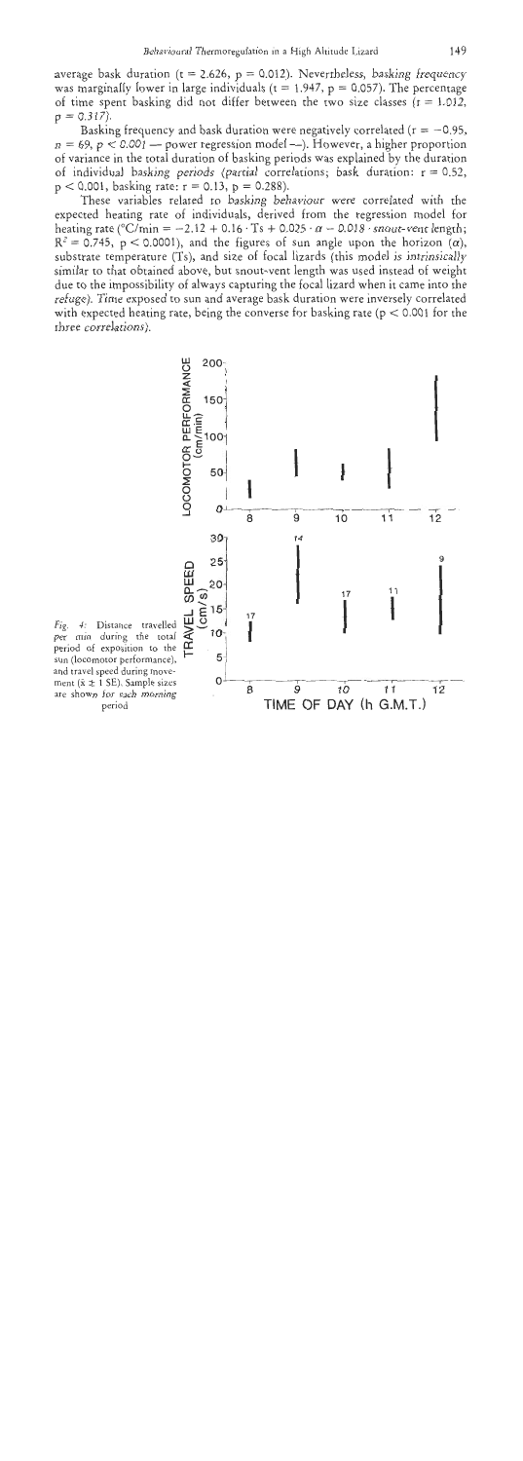average bask duration ( $t = 2.626$ ,  $p = 0.012$ ). Nevertheless, basking frequency was marginally lower in large individuals ( $t = 1.947$ ,  $p = 0.057$ ). The percentage of time spent basking did not differ between the two size classes  $(t = 1.012,$  $p = 0.317$ ).

Basking frequency and bask duration were negatively correlated ( $r = -0.95$ ,  $n = 69$ ,  $p < 0.001$  - power regression model --). However, a higher proportion of variance in the total duration of basking periods was explained by the duration of individual basking periods (partial correlations; bask duration:  $r = 0.52$ ,  $p < 0.001$ , basking rate:  $r = 0.13$ ,  $p = 0.288$ ).

These variables related to basking behaviour were correlated with the expected heating rate of individuals, derived from the regression model for heating rate (°C/min = -2.12 + 0.16 · Ts + 0.025 ·  $\alpha$  - 0.018 · snout-vent length;  $R^2 = 0.745$ , p < 0.0001), and the figures of sun angle upon the horizon  $(\alpha)$ , substrate temperature (Ts), and size of focal lizards (this model is intrinsically similar to that obtained above, but snout-vent length was used instead of weight due to the impossibility of always capturing the focal lizard when it came into the refuge). Time exposed to sun and average bask duration were inversely correlated with expected heating rate, being the converse for basking rate ( $p < 0.001$  for the three correlations).



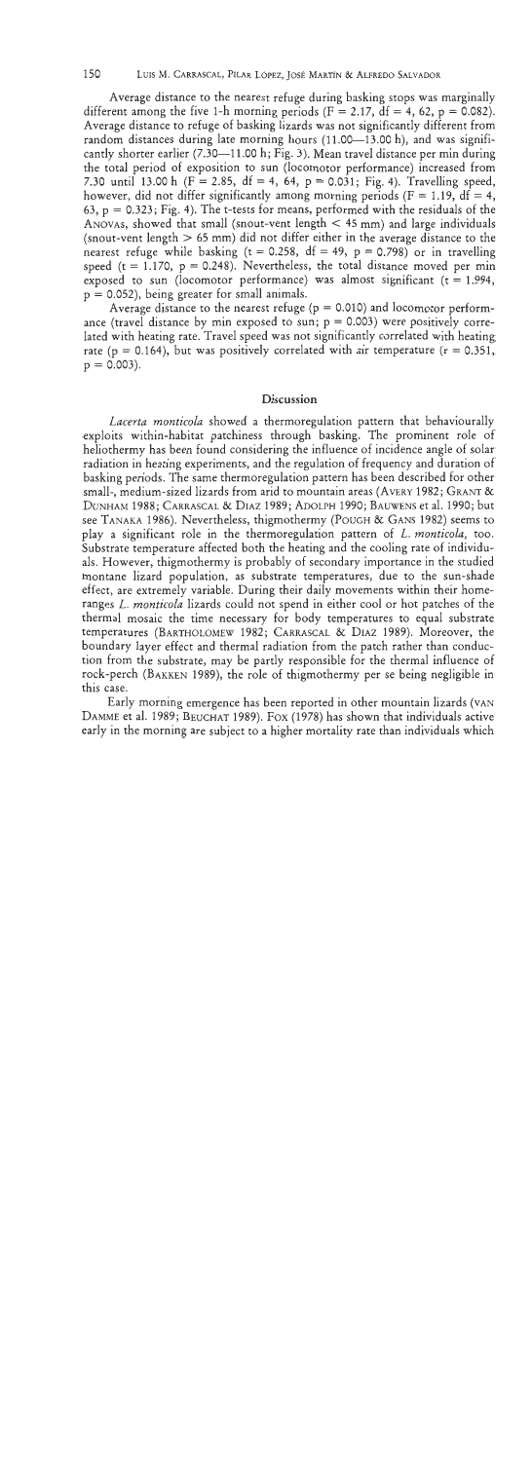LUIS M. CARRASCAL, PILAR LÓPEZ, JOSÉ MARTÍN & ALFREDO SALVADOR

Average distance to the nearest refuge during basking stops was marginally different among the five 1-h morning periods ( $F = 2.17$ ,  $df = 4$ , 62,  $p = 0.082$ ). Average distance to refuge of basking lizards was not significantly different from random distances during late morning hours  $(11.00-13.00 \text{ h})$ , and was significantly shorter earlier  $(7.30-11.00 \text{ h}; \text{Fig. 3})$ . Mean travel distance per min during the total period of exposition to sun (locomotor performance) increased from 7.30 until 13.00 h ( $F = 2.85$ , df = 4, 64, p = 0.031; Fig. 4). Travelling speed, however, did not differ significantly among morning periods ( $F = 1.19$ , df = 4, 63, p = 0.323; Fig. 4). The t-tests for means, performed with the residuals of the ANOVAS, showed that small (snout-vent length  $\lt$  45 mm) and large individuals (snout-vent length  $> 65$  mm) did not differ either in the average distance to the nearest refuge while basking ( $t = 0.258$ ,  $df = 49$ ,  $p = 0.798$ ) or in travelling speed (t = 1.170,  $p = 0.248$ ). Nevertheless, the total distance moved per min exposed to sun (locomotor performance) was almost significant  $(t = 1.994,$  $p = 0.052$ , being greater for small animals.

Average distance to the nearest refuge ( $p = 0.010$ ) and locomotor performance (travel distance by min exposed to sun;  $p = 0.003$ ) were positively correlated with heating rate. Travel speed was not significantly correlated with heating rate (p = 0.164), but was positively correlated with air temperature ( $r = 0.351$ ,  $p = 0.003$ ).

## **Discussion**

Lacerta monticola showed a thermoregulation pattern that behaviourally exploits within-habitat patchiness through basking. The prominent role of heliothermy has been found considering the influence of incidence angle of solar radiation in heating experiments, and the regulation of frequency and duration of basking periods. The same thermoregulation pattern has been described for other small-, medium-sized lizards from arid to mountain areas (AVERY 1982; GRANT & DUNHAM 1988; CARRASCAL & DIAZ 1989; ADOLPH 1990; BAUWENS et al. 1990; but see TANAKA 1986). Nevertheless, thigmothermy (POUGH & GANS 1982) seems to play a significant role in the thermoregulation pattern of L. monticola, too. Substrate temperature affected both the heating and the cooling rate of individuals. However, thigmothermy is probably of secondary importance in the studied montane lizard population, as substrate temperatures, due to the sun-shade effect, are extremely variable. During their daily movements within their homeranges L. monticola lizards could not spend in either cool or hot patches of the thermal mosaic the time necessary for body temperatures to equal substrate temperatures (BARTHOLOMEW 1982; CARRASCAL & DIAZ 1989). Moreover, the boundary layer effect and thermal radiation from the patch rather than conduction from the substrate, may be partly responsible for the thermal influence of rock-perch (BAKKEN 1989), the role of thigmothermy per se being negligible in this case.

Early morning emergence has been reported in other mountain lizards (VAN DAMME et al. 1989; BEUCHAT 1989). Fox (1978) has shown that individuals active early in the morning are subject to a higher mortality rate than individuals which

150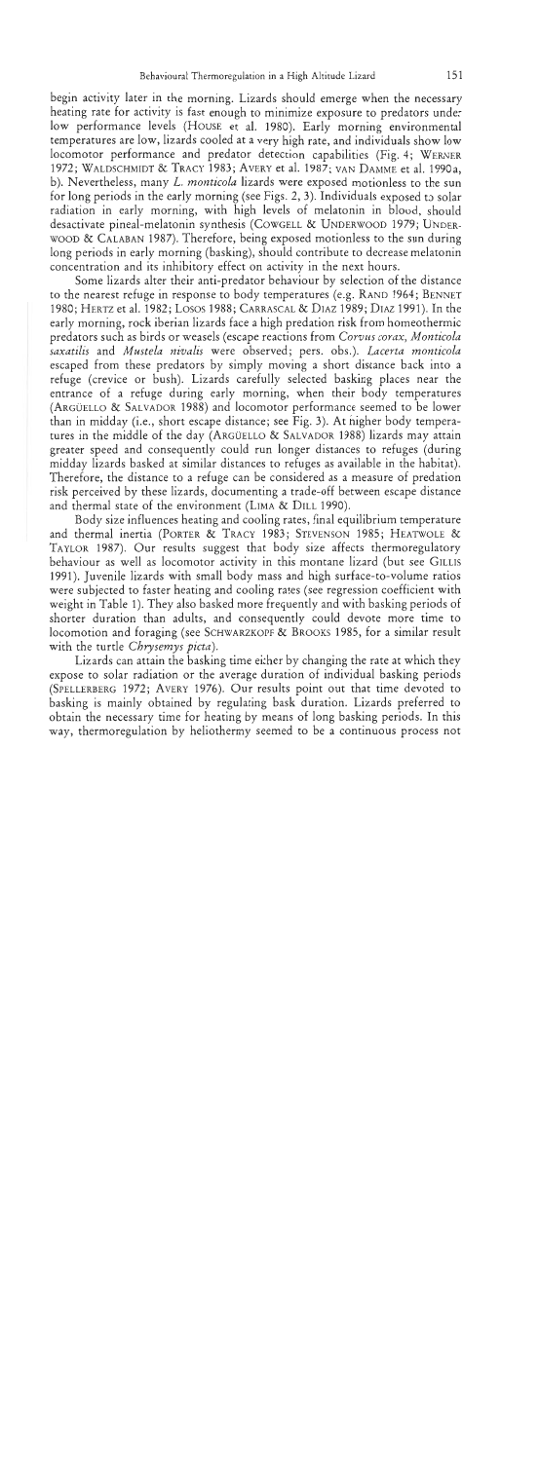begin activity later in the morning. Lizards should emerge when the necessary heating rate for activity is fast enough to minimize exposure to predators under low performance levels (HOUSE et al. 1980). Early morning environmental temperatures are low, lizards cooled at a very high rate, and individuals show low locomotor performance and predator detection capabilities (Fig. **4;** WERNER 1972; WALDSCHMIDT & TRACY 1983; AVERY et al. 1987; VAN DAMME et al. 1990a, b). Nevertheless, many *L. monticola* lizards were exposed motionless to the sun for long periods in the early morning (see Figs. 2,3). Individuals exposed to solar radiation in early morning, with high levels of melatonin in blood, should desactivate pineal-melatonin synthesis (COWGELL & UNDERWOOD 1979; UNDER-WOOD & CALABAN 1987). Therefore, being exposed motionless to the sun during long periods in early morning (basking), should contribute to decrease melatonin concentration and its inhibitory effect on activity in the next hours.

Some lizards alter their anti-predator behaviour by selection of the distance to the nearest refuge in response to body temperatures (e.g. RAND 1964; BENNET 1980; HERTZ et al. 1982; Losos 1988; CARRASCAL & DIAZ 1989; DIAZ 1991). In the early morning, rock iberian lizards face a high predation risk from homeothermic predators such as birds or weasels (escape reactions from *Corvtrs corax, Monticola saxatilis* and *Mustela nivalis* were observed; pers. obs.). *Lacerta monticola*  escaped from these predators by simply moving a short distance back into a refuge (crevice or bush). Lizards carefully selected basking places near the entrance of a refuge during early morning, when their body temperatures (ARGUELLO & SALVADOR 1988) and locomotor performance seemed to be lower than in midday (i.e., short escape distance; see Fig. 3). At higher body temperatures in the middle of the day (ARGUELLO & SALVADOR 1988) lizards may attain greater speed and consequently could run longer distances to refuges (during midday lizards basked at similar distances to refuges as available in the habitat). Therefore, the distance to a refuge can be considered as a measure of predation risk perceived by these lizards, documenting a trade-off between escape distance and thermal state of the environment (LIMA & DILL 1990).

Body size influences heating and cooling rates, final equilibrium temperature and thermal inertia (PORTER & TRACY 1983; STEVENSON 1985; HEAWOLE & TAYLOR 1987). Our results suggest that body size affects thermoregulatory behaviour as well as locomotor activity in this montane lizard (but see GILLIS 1991). Juvenile lizards with small body mass and high surface-to-volume ratios were subjected to faster heating and cooling rates (see regression coefficient with weight in Table I). They also basked more frequently and with basking periods of shorter duration than adults, and consequently could devote more time to locomotion and foraging (see SCHWARZKOPF & BROOKS 1985, for a similar result with the turtle *Cbrysemys picta).* 

Lizards can attain the basking time either by changing the rate at which they expose to solar radiation or the average duration of individual basking periods (SPELLERBERG 1972; AVERY 1976). Our results point out that time devoted to basking is mainly obtained by regulating bask duration. Lizards preferred to obtain the necessary time for heating by means of long basking periods. In this way, thermoregulation by heliothermy seemed to be a continuous process not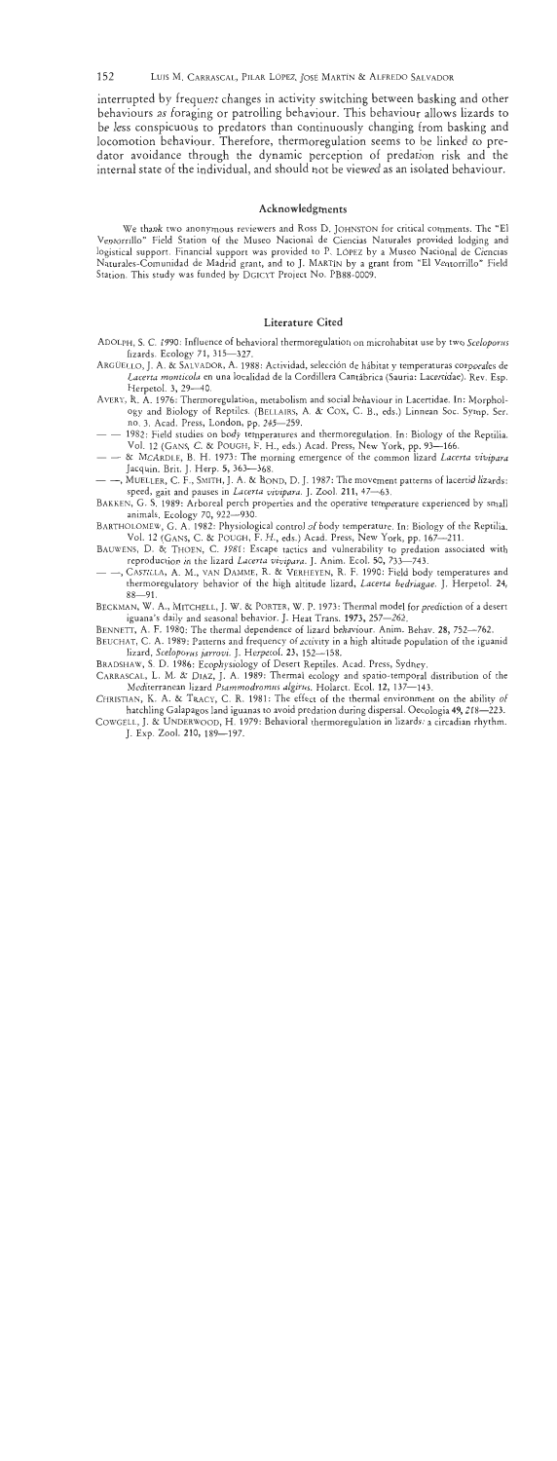152 LUIS M. CARRASCAL, PILAR LÓPEZ, JOSÉ MARTÍN & ALFREDO SALVADOR

interrupted by frequent changes in activity switching between basking and other behaviours as foraging or patrolling behaviour. This behaviour allows lizards to be less conspicuous to predators than continuously changing from basking and locomotion behaviour. Therefore, thermoregulation seems to be linked to predator avoidance through the dynamic perception of predation risk and the internal state of the individual, and should not be viewed as an isolated behaviour.

## Acknowledgments

We thank two anonymous reviewers and Ross D. JOHNSTON for critical comments. The "El \'entorrillo" Field Station of the Museo Nacional de Ciencias Naturales provided lodging and logistical support. Financial support was provided to P. LOPEZ by a Museo Nacional de Ciencias Naturales-Comunidad de Madrid grant, and to J. MARTIN by a grant from "El Ventorrillo" Field Station. This study was funded by DGICYT Project No. PB88-0009.

### **Literature** Cited

- ADOLPH, S. C. 1990: Influence of behavioral thermoregulation on microhabitat use by two *Sceloporns*  lizards. Ecology 71, 315-327.
- ARGUELLO, J. A. & SALVADOR, A. 1988: Actividad, selection de hibitat y temperaturas corporales de *Lacerta monticola* en una localidad de la Cordillera Cantabrica (Sauria: Lacertidae). Rev. Esp. Herpetol. 3, 29-40.
- AWRY, R. A. 1976: Thermoregulation, metabolism and social behaviour in Lacertidae. In: Morphology and Biology of Reptiles. (BELLAIRS, A. & COX, C. B., eds.) Linnean Soc. Symp. Ser. no. 3. Acad. Press, London, pp. 245-259.
- - 1982: Field studies on body temperatures and thermoregulation. In: Biology of the Reptilia.<br>Vol. 12 (GANS, C. & POUGH, F. H., eds.) Acad. Press, New York, pp. 93-166.
- Vol. 12 (GANS, C. & POUGH, F. H., eds.) Acad. Press, New York, pp. 93-166. - & MCARDLE, B. H. 1973: The morning emergence of the common lizard *Laccrta vivipara*
- -, MUELLER, C. F., SMITH, J. A. & BOND, D. J. 1987: The movement patterns of lacertid lizards: speed, gait and pauses in *Lacerta vivipara*. J. Zool. 211, 47-63.
- BAKKEN, G. S. 1989: Arboreal perch properties and the operative temperature experienced by small animals. Ecology 70, 922-930.
- BARTHOLOMEW, G. A. 1982: Physiological control of body temperature. In: Biology of the Reptilia. Vol. 12 (GANS, C. 8L POUGH, F. H., eds.) Acad. Press, New York, pp. 167-211.
- BAUWENS, D. & THOEN, C. 1981: Escape tactics and vulnerability to predation associated with reproduction in the lizard Lacerta vivipara. J. Anim. Ecol. 50, 733-743.
- CASTILLA, A. M., VAN DAMME, R. & VERHEYEN, R. F. 1990: Field body temperatures and thermoregulatory behavior of the high altitude lizard, *Lacerta bedriagae.* J. Herpetol. 24,  $88 - 91.$
- BECKMAN, W. A., MITCHELL, J. W. **8L** PORTER, W. P. 1973: Thermal model for prediction of a desert iguana's daily and seasonal behavior. J. Heat Trans. 1973, 257-262.
- BENNETT, A. F. 1980: The thermal dependence of lizard behaviour. Anim. Behav. 28, 752-762.
- BEUCHAT, C. A. 1989: Patterns and frequency of activity in a high altitude population of the iguanid lizard, *Sceloporus jarrovi.* J. Herpetol. 23, 152-158.
- BRADSHAW, S.D. 1986: Ecophysiology of Desert Reptiles. Acad. Press, Sydney.
- CARRASCAL, L. M. & DIAZ, J. A. 1989: Thermal ecology and spatio-temporal distribution of the Mediterranean lizard *Psammodromus algirus*. Holarct. Ecol. 12, 137-143.
- CHRISTIAN, K. A. & TRACY, C. R. 1981: The effect of the thermal environment on the ability of hatchling Galapagos land iguanas to avoid predation during dispersal. Oecologia 49, 218-223.
- COWGELL, J. **8:** UNDERWOOD, H. 1979: Behavioral thermoregulation in lizards: a circadian rhythm. J. Exp. Zool. 210, 189-197.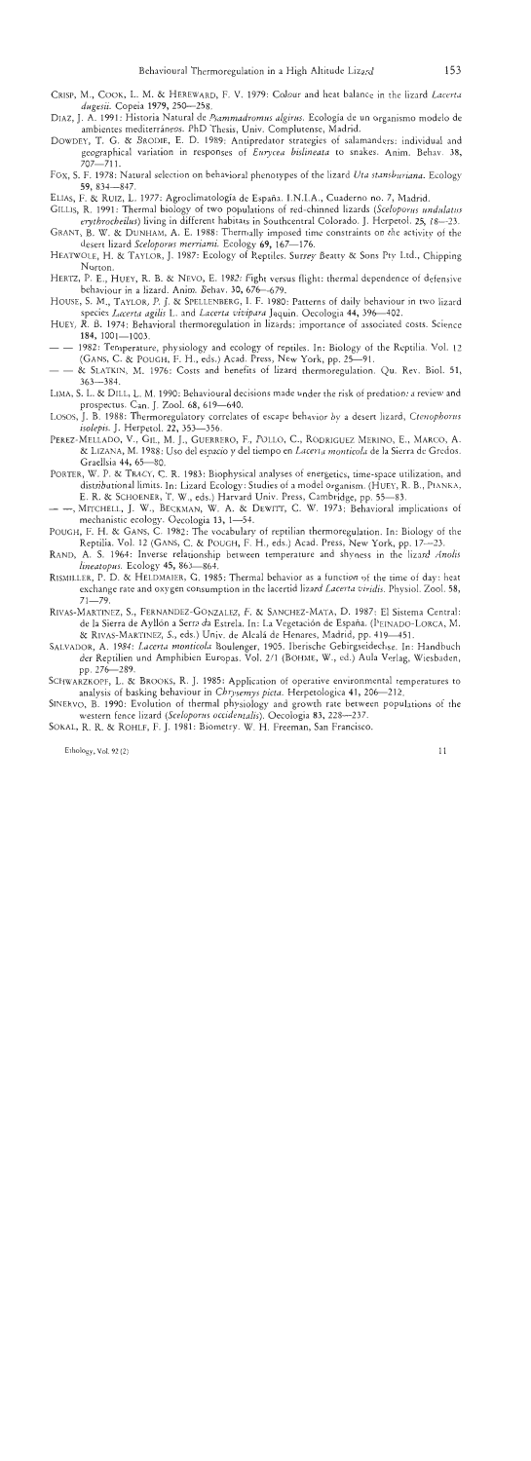- CRISP, M., COOK, L. M. *8:* HEREWARD, F.V. 1979: Colour and heat balance in the lizard *Lacerta dugrsii.* Copeia 1979, 250-258.
- DIAZ, J. A. 1991: Historia Natural de *Psammadromus algirus*. Ecología de un organismo modelo de ambientes mediterráneos. PhD Thesis, Univ. Complutense, Madrid.
- DOWDEY, T. G. *81* BRODIE, E. D. 1989: Antipredator strategies of salamanders: individual and geographical variation in responses of *Eurycea bislineata* to snakes. Anim. Behav. 38, 707-711.
- Fox, S. F. 1978: Natural selection on behavioral phenotypes of the lizard *Uta stansbrtriana.* Ecology 59, 834-847.
- ELIAS, F. **R:** RUIZ, L. 1977: Agroclimatologia de Espafia. I.N.I.A., Cuaderno no. 7, Madrid.
- GILLIS, R. 1991: Thermal biology of two populations of red-chinned lizards *(Sceloporrrs rrnditlatrts erythrocheilus*) living in different habitats in Southcentral Colorado. J. Herpetol. 25, 18-23.
- GRANT, B. W. & DUNHAM, A. E. 1988: Thermally imposed time constraints on the activity of the desert lizard *Sceloporws merriami.* Ecology **69,** 167-176.
- HEATWOLE, H. **R:** TAYLOR, J. 1987: Ecology of Reptiles. Surrey Beatty & Sons Pty Ltd., Chipping Norton.
- HERTZ, P. E., HUEY, R. B. **8:** NEVO, E. 1982: Fight versus flight: thermal dependence of defensive behaviour in a lizard. Anim. Behav. 30. 676-679.
- HOUSE, S. M,, TAYLOR, P. J. & SPELLENRERG, I. F. 1980: Patterns of daily behaviour in two lizard species *Lacerta agilis* L. and *Lacerta vivipara* Jaquin. Oecologia 44, 396-402.
- HUEY, R. B. 1974: Behavioral thermoregulation in lizards: importance of associated costs. Science 184, 1001-1003.
- $-$  1982: Temperature, physiology and ecology of reptiles. In: Biology of the Reptilia. Vol. 12 (GANS, C. & POUGH, F. H., eds.) Acad. Press, New York, pp. 25–91.
- $-$  & SLATKIN, M. 1976: Costs and benefits of lizard thermoregulation. Qu. Rev. Biol. 51, 363-384.
- LIMA, S. L. & DILL, L. M. 1990: Behavioural decisions made under the risk of predation: a review and prospectus. Can. J. Zool. 68, 619-640.
- LO~OS, J. B. 1988: Thermoregulatory correlates of escape behavior by a desert lizard, *Ctenophorus isolepis.* J. Herpetol. 22, 353-356.
- PEREZ-MELLADO, V., GIL, M. J., GUERRERO, F., POLLO, C., RODRICUEZ MERINO, E., MARCO, A. & LIZANA, M. 1988: Uso del espacio y del tiempo en *Lacerta monticola* de la Sierra de Gredos. Graellsia 44, 65-80.
- PORTER, W. P. & TRACY, C. R. 1983: Biophysical analyses of energetics, time-space utilization, and distributional limits. In: Lizard Ecology: Studies of a model organism. (HUEY, R. B., PIANKA, E. R. & SCHOENER, T. W., eds.) Harvard Univ. Press, Cambridge, pp. 55-83.
- -, MITCHELL, J. W., BECKMAN, W. A. **8i** DEWTIT, C. W. 1973: Behavioral implications of mechanistic ecology. Oecologia 13, 1-54.
- POUCH, F. H. *8:* GANS, C. 1982: The vocabulary of reptilian thermoregulation. In: Biology of the Reptilia. Vol. 12 (GANS, C. & POUCH, F. H., eds.) Acad. Press, New York, pp. 17-23.
- RAND, A. S. 1964: Inverse relationship between temperature and shyness in the lizard *Anolrs lineatopus.* Ecology 45, 863-864.
- RISMILLER, P. D. & HELDMAIER, G. 1985: Thermal behavior as a function of the time of day: heat exchange rate and oxygen consumption in the lacertid lizard *Lacerta viridis.* Physiol. Zool. 58,  $71 - 79.$
- RIVAS-MARTINEZ, S., FERNANDEZ-GONZALEZ, F. **R:** SANCHEZ-MATA, D. 1987: El Sistema Central: de la Sierra de Ayllón a Serra da Estrela. In: La Vegetación de España. (PEINADO-LORCA, M. & RIVAS-MARTINEZ, S. eds.) Unir. de Alcali de Henares, Madrid, pp. 419-451.
- SALVADOR, A. 1984: *Lacerta monticola* Boulenger, 1905. Iberische Gebirgseidechse. In: Handbuch der Reptilien und Amphibien Europas. Vol. 211 (BOHME, W., d.) Aula Verlag, Wiesbaden, pp. 276-289.
- SCHWARZKOPF, L. & BROOKS, R. J. 1985: Application of operative environmental temperatures to analysis of basking behaviour in *Chrysemys picta*. Herpetologica 41, 206-212.
- SINERVO. B. 1990: Evolution of thermal physiology and growth rate between populations of the western fence lizard *(Sceloporus occidentalis)*. Oecologia 83, 228-237.
- SOKAL, R. R. & ROHLF, F. J. 1981: Biometry. W. H. Freeman, San Francisco.

Ethology, Vol. 92 **(2)**